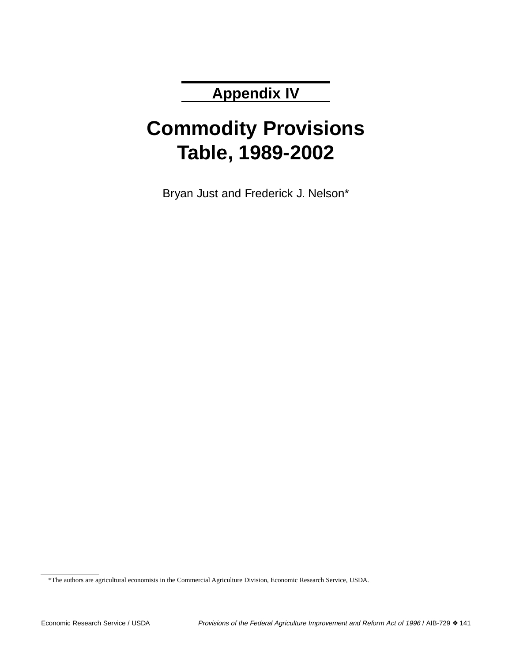## **Appendix IV**

# **Commodity Provisions Table, 1989-2002**

Bryan Just and Frederick J. Nelson\*

<sup>\*</sup>The authors are agricultural economists in the Commercial Agriculture Division, Economic Research Service, USDA.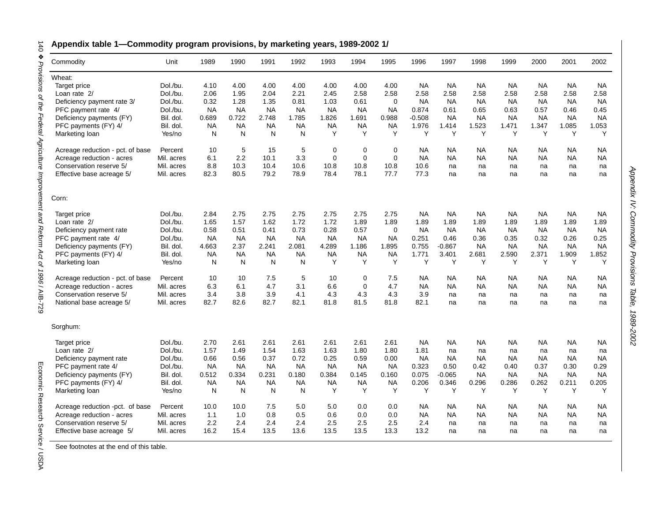### **Appendix table 1—Commodity program provisions, by marketing years, 1989-2002 1/**

| Commodity                              | Unit       | 1989      | 1990      | 1991      | 1992      | 1993        | 1994        | 1995        | 1996      | 1997      | 1998      | 1999      | 2000      | 2001      | 2002      |
|----------------------------------------|------------|-----------|-----------|-----------|-----------|-------------|-------------|-------------|-----------|-----------|-----------|-----------|-----------|-----------|-----------|
|                                        |            |           |           |           |           |             |             |             |           |           |           |           |           |           |           |
| Wheat:                                 | Dol./bu.   | 4.10      | 4.00      | 4.00      | 4.00      | 4.00        | 4.00        | 4.00        | <b>NA</b> | <b>NA</b> | <b>NA</b> | <b>NA</b> | <b>NA</b> | <b>NA</b> | <b>NA</b> |
| Target price                           |            |           |           |           |           |             |             |             |           |           |           |           |           |           |           |
| Loan rate 2/                           | Dol./bu.   | 2.06      | 1.95      | 2.04      | 2.21      | 2.45        | 2.58        | 2.58        | 2.58      | 2.58      | 2.58      | 2.58      | 2.58      | 2.58      | 2.58      |
| Deficiency payment rate 3/             | Dol./bu.   | 0.32      | 1.28      | 1.35      | 0.81      | 1.03        | 0.61        | $\Omega$    | <b>NA</b> | <b>NA</b> | NA        | <b>NA</b> | <b>NA</b> | NA        | NA        |
| PFC payment rate 4/                    | Dol./bu.   | <b>NA</b> | <b>NA</b> | <b>NA</b> | <b>NA</b> | <b>NA</b>   | <b>NA</b>   | <b>NA</b>   | 0.874     | 0.61      | 0.65      | 0.63      | 0.57      | 0.46      | 0.45      |
| Deficiency payments (FY)               | Bil. dol.  | 0.689     | 0.722     | 2.748     | 1.785     | 1.826       | 1.691       | 0.988       | $-0.508$  | <b>NA</b> | <b>NA</b> | <b>NA</b> | <b>NA</b> | <b>NA</b> | <b>NA</b> |
| PFC payments (FY) 4/                   | Bil. dol.  | <b>NA</b> | <b>NA</b> | <b>NA</b> | <b>NA</b> | <b>NA</b>   | <b>NA</b>   | <b>NA</b>   | 1.976     | 1.414     | 1.523     | 1.471     | 1.347     | 1.085     | 1.053     |
| Marketing loan                         | Yes/no     | N         | N         | N         | N         | Y           | Y           | Y           | Y         | Y         | Y         | Y         | Y         | Y         | Y         |
| Acreage reduction - pct. of base       | Percent    | 10        | 5         | 15        | 5         | 0           | $\mathbf 0$ | 0           | <b>NA</b> | <b>NA</b> | NA        | <b>NA</b> | <b>NA</b> | NA        | NA        |
| Acreage reduction - acres              | Mil. acres | 6.1       | 2.2       | 10.1      | 3.3       | $\mathbf 0$ | $\mathbf 0$ | 0           | NA        | <b>NA</b> | NA        | ΝA        | NA        | NA        | <b>NA</b> |
| Conservation reserve 5/                | Mil. acres | 8.8       | 10.3      | 10.4      | 10.6      | 10.8        | 10.8        | 10.8        | 10.6      | na        | na        | na        | na        | na        | na        |
| Effective base acreage 5/              | Mil. acres | 82.3      | 80.5      | 79.2      | 78.9      | 78.4        | 78.1        | 77.7        | 77.3      | na        | na        | na        | na        | na        | na        |
| Corn:                                  |            |           |           |           |           |             |             |             |           |           |           |           |           |           |           |
| Target price                           | Dol./bu.   | 2.84      | 2.75      | 2.75      | 2.75      | 2.75        | 2.75        | 2.75        | <b>NA</b> | <b>NA</b> | <b>NA</b> | <b>NA</b> | <b>NA</b> | <b>NA</b> | <b>NA</b> |
| Loan rate 2/                           | Dol./bu.   | 1.65      | 1.57      | 1.62      | 1.72      | 1.72        | 1.89        | 1.89        | 1.89      | 1.89      | 1.89      | 1.89      | 1.89      | 1.89      | 1.89      |
| Deficiency payment rate                | Dol./bu.   | 0.58      | 0.51      | 0.41      | 0.73      | 0.28        | 0.57        | $\mathbf 0$ | <b>NA</b> | <b>NA</b> | NA        | <b>NA</b> | <b>NA</b> | NA        | <b>NA</b> |
| PFC payment rate 4/                    | Dol./bu.   | <b>NA</b> | <b>NA</b> | <b>NA</b> | <b>NA</b> | NA          | NA          | <b>NA</b>   | 0.251     | 0.46      | 0.36      | 0.35      | 0.32      | 0.26      | 0.25      |
| Deficiency payments (FY)               | Bil. dol.  | 4.663     | 2.37      | 2.241     | 2.081     | 4.289       | 1.186       | 1.895       | 0.755     | $-0.867$  | <b>NA</b> | <b>NA</b> | <b>NA</b> | <b>NA</b> | <b>NA</b> |
|                                        | Bil. dol.  | <b>NA</b> | <b>NA</b> | <b>NA</b> | <b>NA</b> | NA          | NA          | <b>NA</b>   | 1.771     | 3.401     | 2.681     | 2.590     | 2.371     | 1.909     | 1.852     |
| PFC payments (FY) 4/<br>Marketing loan | Yes/no     | N         | N         | N         | N         | Y           | Y           | Y           | Y         | Υ         | Y         | Υ         | Υ         | Y         | Y         |
| Acreage reduction - pct. of base       | Percent    | 10        | 10        | 7.5       | 5         | 10          | $\mathbf 0$ | 7.5         | <b>NA</b> | NA        | <b>NA</b> | <b>NA</b> | <b>NA</b> | NA        | NA        |
| Acreage reduction - acres              | Mil. acres | 6.3       | 6.1       | 4.7       | 3.1       | 6.6         | $\mathbf 0$ | 4.7         | <b>NA</b> | <b>NA</b> | <b>NA</b> | <b>NA</b> | NA.       | <b>NA</b> | <b>NA</b> |
| Conservation reserve 5/                | Mil. acres | 3.4       | 3.8       | 3.9       | 4.1       | 4.3         | 4.3         | 4.3         | 3.9       | na        | na        | na        | na        | na        | na        |
| National base acreage 5/               | Mil. acres | 82.7      | 82.6      | 82.7      | 82.1      | 81.8        | 81.5        | 81.8        | 82.1      | na        | na        | na        | na        | na        | na        |
| Sorghum:                               |            |           |           |           |           |             |             |             |           |           |           |           |           |           |           |
| Target price                           | Dol./bu.   | 2.70      | 2.61      | 2.61      | 2.61      | 2.61        | 2.61        | 2.61        | <b>NA</b> | NA        | NА        | NA.       | NA.       | NА        | NА        |
| Loan rate 2/                           | Dol./bu.   | 1.57      | 1.49      | 1.54      | 1.63      | 1.63        | 1.80        | 1.80        | 1.81      | na        | na        | na        | na        | na        | na        |
| Deficiency payment rate                | Dol./bu.   | 0.66      | 0.56      | 0.37      | 0.72      | 0.25        | 0.59        | 0.00        | <b>NA</b> | <b>NA</b> | <b>NA</b> | <b>NA</b> | <b>NA</b> | <b>NA</b> | <b>NA</b> |
| PFC payment rate 4/                    | Dol./bu.   | <b>NA</b> | <b>NA</b> | <b>NA</b> | <b>NA</b> | <b>NA</b>   | NA          | <b>NA</b>   | 0.323     | 0.50      | 0.42      | 0.40      | 0.37      | 0.30      | 0.29      |
|                                        | Bil. dol.  | 0.512     | 0.334     | 0.231     | 0.180     | 0.384       | 0.145       | 0.160       | 0.075     | $-0.065$  | NA        | <b>NA</b> | <b>NA</b> | NA        | <b>NA</b> |
| Deficiency payments (FY)               |            |           |           |           |           |             |             |             |           |           |           |           |           |           |           |
| PFC payments (FY) 4/                   | Bil. dol.  | <b>NA</b> | <b>NA</b> | <b>NA</b> | <b>NA</b> | NA          | NA          | <b>NA</b>   | 0.206     | 0.346     | 0.296     | 0.286     | 0.262     | 0.211     | 0.205     |
| Marketing loan                         | Yes/no     | N         | N         | N         | N         | Y           | Y           | Y           | Υ         | Υ         | Υ         | Υ         | Y         | Y         | Υ         |
| Acreage reduction -pct. of base        | Percent    | 10.0      | 10.0      | 7.5       | 5.0       | 5.0         | 0.0         | 0.0         | <b>NA</b> | <b>NA</b> | NA        | NA.       | NA        | <b>NA</b> | NА        |
| Acreage reduction - acres              | Mil. acres | 1.1       | 1.0       | 0.8       | 0.5       | 0.6         | 0.0         | 0.0         | <b>NA</b> | <b>NA</b> | <b>NA</b> | NA        | NA        | <b>NA</b> | <b>NA</b> |
| Conservation reserve 5/                | Mil. acres | 2.2       | 2.4       | 2.4       | 2.4       | 2.5         | 2.5         | 2.5         | 2.4       | na        | na        | na        | na        | na        | na        |
| Effective base acreage 5/              | Mil. acres | 16.2      | 15.4      | 13.5      | 13.6      | 13.5        | 13.5        | 13.3        | 13.2      | na        | na        | na        | na        | na        | na        |

Appendix IV:

Appendix IV: Commodity Provisions Table, 1989-2002

Commodity Provisions Table, 1989-2002

See footnotes at the end of this table.

Economic Research Service / USDA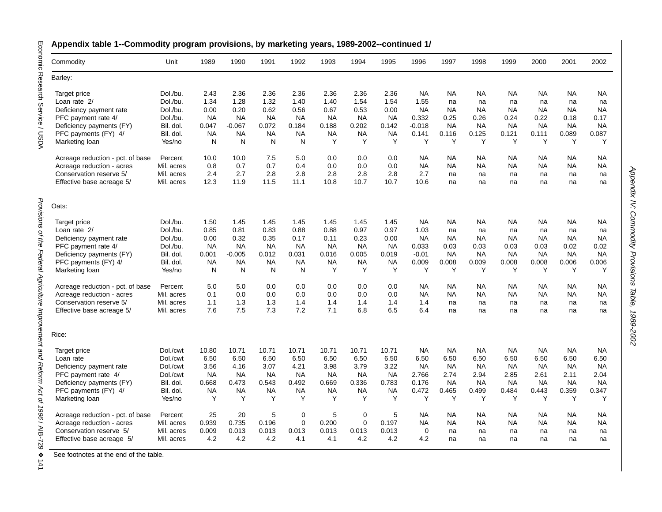| Commodity                        | Unit       | 1989      | 1990      | 1991      | 1992        | 1993        | 1994        | 1995      | 1996        | 1997      | 1998      | 1999      | 2000      | 2001      | 2002            |
|----------------------------------|------------|-----------|-----------|-----------|-------------|-------------|-------------|-----------|-------------|-----------|-----------|-----------|-----------|-----------|-----------------|
| Barley:                          |            |           |           |           |             |             |             |           |             |           |           |           |           |           |                 |
| Target price                     | Dol./bu.   | 2.43      | 2.36      | 2.36      | 2.36        | 2.36        | 2.36        | 2.36      | <b>NA</b>   | <b>NA</b> | <b>NA</b> | <b>NA</b> | <b>NA</b> | <b>NA</b> | <b>NA</b>       |
| Loan rate 2/                     | Dol./bu.   | 1.34      | 1.28      | 1.32      | 1.40        | 1.40        | 1.54        | 1.54      | 1.55        | na        | na        | na        | na        | na        | na              |
| Deficiency payment rate          | Dol./bu.   | 0.00      | 0.20      | 0.62      | 0.56        | 0.67        | 0.53        | 0.00      | <b>NA</b>   | <b>NA</b> | NA        | NA        | NA        | <b>NA</b> | <b>NA</b>       |
| PFC payment rate 4/              | Dol./bu.   | <b>NA</b> | <b>NA</b> | <b>NA</b> | <b>NA</b>   | <b>NA</b>   | <b>NA</b>   | <b>NA</b> | 0.332       | 0.25      | 0.26      | 0.24      | 0.22      | 0.18      | 0.17            |
| Deficiency payments (FY)         | Bil. dol.  | 0.047     | $-0.067$  | 0.072     | 0.184       | 0.188       | 0.202       | 0.142     | $-0.018$    | <b>NA</b> | <b>NA</b> | <b>NA</b> | NA        | <b>NA</b> | <b>NA</b>       |
| PFC payments (FY) 4/             | Bil. dol.  | <b>NA</b> | <b>NA</b> | <b>NA</b> | <b>NA</b>   | <b>NA</b>   | <b>NA</b>   | <b>NA</b> | 0.141       | 0.116     | 0.125     | 0.121     | 0.111     | 0.089     | 0.087           |
| Marketing loan                   | Yes/no     | N         | N         | N         | N           | Y           | Y           | Y         | Y           | Y         | Y         | Y         | Y         | Y         |                 |
| Acreage reduction - pct. of base | Percent    | 10.0      | 10.0      | 7.5       | 5.0         | 0.0         | 0.0         | 0.0       | <b>NA</b>   | <b>NA</b> | NA        | NA        | NA.       | NA        | NA              |
| Acreage reduction - acres        | Mil. acres | 0.8       | 0.7       | 0.7       | 0.4         | 0.0         | 0.0         | 0.0       | <b>NA</b>   | <b>NA</b> | <b>NA</b> | <b>NA</b> | NA.       | NA        | <b>NA</b>       |
| Conservation reserve 5/          | Mil. acres | 2.4       | 2.7       | 2.8       | 2.8         | 2.8         | 2.8         | 2.8       | 2.7         | na        | na        | na        | na        | na        | na              |
| Effective base acreage 5/        | Mil. acres | 12.3      | 11.9      | 11.5      | 11.1        | 10.8        | 10.7        | 10.7      | 10.6        | na        | na        | na        | na        | na        | na              |
| Oats:                            |            |           |           |           |             |             |             |           |             |           |           |           |           |           |                 |
|                                  |            |           |           |           |             |             |             |           |             |           |           |           |           |           |                 |
| Target price                     | Dol./bu.   | 1.50      | 1.45      | 1.45      | 1.45        | 1.45        | 1.45        | 1.45      | <b>NA</b>   | <b>NA</b> | <b>NA</b> | <b>NA</b> | <b>NA</b> | <b>NA</b> | <b>NA</b><br>na |
| Loan rate 2/                     | Dol./bu.   | 0.85      | 0.81      | 0.83      | 0.88        | 0.88        | 0.97        | 0.97      | 1.03        | na        | na        | na        | na        | na        |                 |
| Deficiency payment rate          | Dol./bu.   | 0.00      | 0.32      | 0.35      | 0.17        | 0.11        | 0.23        | 0.00      | <b>NA</b>   | <b>NA</b> | <b>NA</b> | <b>NA</b> | <b>NA</b> | <b>NA</b> | <b>NA</b>       |
| PFC payment rate 4/              | Dol./bu.   | NA        | <b>NA</b> | <b>NA</b> | <b>NA</b>   | <b>NA</b>   | <b>NA</b>   | <b>NA</b> | 0.033       | 0.03      | 0.03      | 0.03      | 0.03      | 0.02      | 0.02            |
| Deficiency payments (FY)         | Bil. dol.  | 0.001     | $-0.005$  | 0.012     | 0.031       | 0.016       | 0.005       | 0.019     | $-0.01$     | <b>NA</b> | <b>NA</b> | <b>NA</b> | <b>NA</b> | <b>NA</b> | <b>NA</b>       |
| PFC payments (FY) 4/             | Bil. dol.  | <b>NA</b> | <b>NA</b> | <b>NA</b> | <b>NA</b>   | <b>NA</b>   | <b>NA</b>   | <b>NA</b> | 0.009       | 0.008     | 0.009     | 0.008     | 0.008     | 0.006     | 0.006           |
| Marketing loan                   | Yes/no     | N         | N         | N         | N           | Y           | Y           | Y         | Y           | Y         | Y         | Y         | Y         | Y         |                 |
| Acreage reduction - pct. of base | Percent    | 5.0       | 5.0       | 0.0       | 0.0         | 0.0         | 0.0         | 0.0       | <b>NA</b>   | <b>NA</b> | NA        | <b>NA</b> | NA        | ΝA        | NA              |
| Acreage reduction - acres        | Mil. acres | 0.1       | 0.0       | 0.0       | 0.0         | 0.0         | 0.0         | 0.0       | <b>NA</b>   | <b>NA</b> | <b>NA</b> | <b>NA</b> | <b>NA</b> | <b>NA</b> | <b>NA</b>       |
| Conservation reserve 5/          | Mil. acres | 1.1       | 1.3       | 1.3       | 1.4         | 1.4         | 1.4         | 1.4       | 1.4         | na        | na        | na        | na        | na        |                 |
| Effective base acreage 5/        | Mil. acres | 7.6       | 7.5       | 7.3       | 7.2         | 7.1         | 6.8         | 6.5       | 6.4         | na        | na        | na        | na        | na        |                 |
| Rice:                            |            |           |           |           |             |             |             |           |             |           |           |           |           |           |                 |
| Target price                     | Dol./cwt   | 10.80     | 10.71     | 10.71     | 10.71       | 10.71       | 10.71       | 10.71     | <b>NA</b>   | <b>NA</b> | <b>NA</b> | <b>NA</b> | <b>NA</b> | NA.       | <b>NA</b>       |
| Loan rate                        | Dol./cwt   | 6.50      | 6.50      | 6.50      | 6.50        | 6.50        | 6.50        | 6.50      | 6.50        | 6.50      | 6.50      | 6.50      | 6.50      | 6.50      | 6.50            |
| Deficiency payment rate          | Dol./cwt   | 3.56      | 4.16      | 3.07      | 4.21        | 3.98        | 3.79        | 3.22      | <b>NA</b>   | <b>NA</b> | <b>NA</b> | <b>NA</b> | <b>NA</b> | <b>NA</b> | <b>NA</b>       |
| PFC payment rate 4/              | Dol./cwt   | <b>NA</b> | <b>NA</b> | <b>NA</b> | <b>NA</b>   | <b>NA</b>   | <b>NA</b>   | <b>NA</b> | 2.766       | 2.74      | 2.94      | 2.85      | 2.61      | 2.11      | 2.04            |
| Deficiency payments (FY)         | Bil. dol.  | 0.668     | 0.473     | 0.543     | 0.492       | 0.669       | 0.336       | 0.783     | 0.176       | <b>NA</b> | NA        | <b>NA</b> | <b>NA</b> | NA        | <b>NA</b>       |
| PFC payments (FY) 4/             | Bil. dol.  | <b>NA</b> | <b>NA</b> | <b>NA</b> | <b>NA</b>   | <b>NA</b>   | <b>NA</b>   | <b>NA</b> | 0.472       | 0.465     | 0.499     | 0.484     | 0.443     | 0.359     | 0.347           |
| Marketing loan                   | Yes/no     | Y         | Y         | Y         | Y           | Y           | Y           | Y         | Y           | Y         | Y         | Y         | Y         | Y         |                 |
| Acreage reduction - pct. of base | Percent    | 25        | 20        | 5         | $\pmb{0}$   | $\mathbf 5$ | $\pmb{0}$   | 5         | <b>NA</b>   | <b>NA</b> | NA        | <b>NA</b> | <b>NA</b> | <b>NA</b> | <b>NA</b>       |
| Acreage reduction - acres        | Mil. acres | 0.939     | 0.735     | 0.196     | $\mathbf 0$ | 0.200       | $\mathbf 0$ | 0.197     | <b>NA</b>   | <b>NA</b> | NA        | <b>NA</b> | NA        | NA        | <b>NA</b>       |
| Conservation reserve 5/          | Mil. acres | 0.009     | 0.013     | 0.013     | 0.013       | 0.013       | 0.013       | 0.013     | $\mathbf 0$ | na        | na        | na        | na        | na        | na              |
| Effective base acreage 5/        | Mil. acres | 4.2       | 4.2       | 4.2       | 4.1         | 4.1         | 4.2         | 4.2       | 4.2         | na        | na        | na        | na        | na        | na              |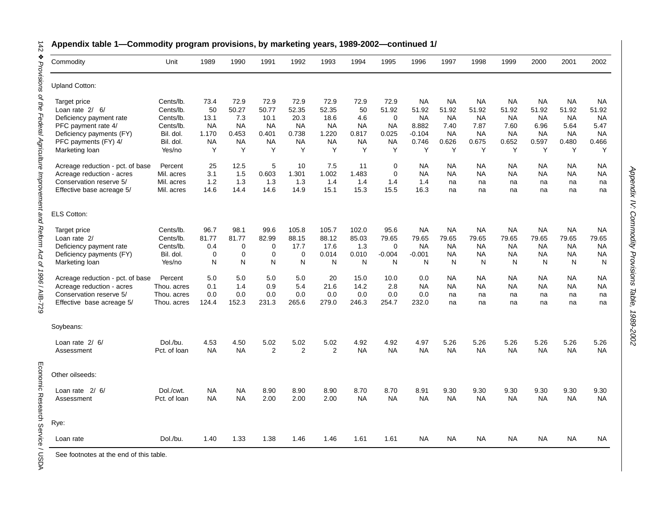| Commodity                        | Unit         | 1989      | 1990        | 1991           | 1992           | 1993      | 1994      | 1995        | 1996      | 1997      | 1998      | 1999      | 2000      | 2001      | 2002      |
|----------------------------------|--------------|-----------|-------------|----------------|----------------|-----------|-----------|-------------|-----------|-----------|-----------|-----------|-----------|-----------|-----------|
| <b>Upland Cotton:</b>            |              |           |             |                |                |           |           |             |           |           |           |           |           |           |           |
| Target price                     | Cents/lb.    | 73.4      | 72.9        | 72.9           | 72.9           | 72.9      | 72.9      | 72.9        | <b>NA</b> | <b>NA</b> | <b>NA</b> | <b>NA</b> | <b>NA</b> | NA        | NA        |
| Loan rate $2/6/$                 | Cents/lb.    | 50        | 50.27       | 50.77          | 52.35          | 52.35     | 50        | 51.92       | 51.92     | 51.92     | 51.92     | 51.92     | 51.92     | 51.92     | 51.92     |
| Deficiency payment rate          | Cents/lb.    | 13.1      | 7.3         | 10.1           | 20.3           | 18.6      | 4.6       | $\mathbf 0$ | <b>NA</b> | <b>NA</b> | <b>NA</b> | <b>NA</b> | <b>NA</b> | <b>NA</b> | NA.       |
| PFC payment rate 4/              | Cents/lb.    | <b>NA</b> | <b>NA</b>   | <b>NA</b>      | <b>NA</b>      | <b>NA</b> | <b>NA</b> | <b>NA</b>   | 8.882     | 7.40      | 7.87      | 7.60      | 6.96      | 5.64      | 5.47      |
| Deficiency payments (FY)         | Bil. dol.    | 1.170     | 0.453       | 0.401          | 0.738          | 1.220     | 0.817     | 0.025       | $-0.104$  | <b>NA</b> | <b>NA</b> | <b>NA</b> | <b>NA</b> | <b>NA</b> | <b>NA</b> |
| PFC payments (FY) 4/             | Bil. dol.    | <b>NA</b> | <b>NA</b>   | <b>NA</b>      | <b>NA</b>      | <b>NA</b> | <b>NA</b> | <b>NA</b>   | 0.746     | 0.626     | 0.675     | 0.652     | 0.597     | 0.480     | 0.466     |
| Marketing loan                   | Yes/no       | Y         | Y           | Y              | Y              | Y         | Y         | Y           | Y         | Y         | Y         | Y         | Y         | Y         | Υ         |
| Acreage reduction - pct. of base | Percent      | 25        | 12.5        | 5              | 10             | 7.5       | 11        | $\mathbf 0$ | NА        | <b>NA</b> | NA.       | NA        | NA        | NА        | NA        |
| Acreage reduction - acres        | Mil. acres   | 3.1       | 1.5         | 0.603          | 1.301          | 1.002     | 1.483     | $\Omega$    | <b>NA</b> | <b>NA</b> | NA        | <b>NA</b> | NA        | NA        | <b>NA</b> |
| Conservation reserve 5/          | Mil. acres   | 1.2       | 1.3         | 1.3            | 1.3            | 1.4       | 1.4       | 1.4         | 1.4       | na        | na        | na        | na        | na        | na        |
| Effective base acreage 5/        | Mil. acres   | 14.6      | 14.4        | 14.6           | 14.9           | 15.1      | 15.3      | 15.5        | 16.3      | na        | na        | na        | na        | na        | na        |
| <b>ELS Cotton:</b>               |              |           |             |                |                |           |           |             |           |           |           |           |           |           |           |
| Target price                     | Cents/lb.    | 96.7      | 98.1        | 99.6           | 105.8          | 105.7     | 102.0     | 95.6        | <b>NA</b> | <b>NA</b> | <b>NA</b> | <b>NA</b> | <b>NA</b> | <b>NA</b> | <b>NA</b> |
| Loan rate 2/                     | Cents/lb.    | 81.77     | 81.77       | 82.99          | 88.15          | 88.12     | 85.03     | 79.65       | 79.65     | 79.65     | 79.65     | 79.65     | 79.65     | 79.65     | 79.65     |
| Deficiency payment rate          | Cents/lb.    | 0.4       | $\mathbf 0$ | 0              | 17.7           | 17.6      | 1.3       | $\mathbf 0$ | NA        | <b>NA</b> | <b>NA</b> | <b>NA</b> | <b>NA</b> | <b>NA</b> | NA        |
| Deficiency payments (FY)         | Bil. dol.    | 0         | $\mathbf 0$ | $\mathbf 0$    | $\mathbf 0$    | 0.014     | 0.010     | $-0.004$    | $-0.001$  | <b>NA</b> | <b>NA</b> | <b>NA</b> | <b>NA</b> | <b>NA</b> | NA        |
| Marketing loan                   | Yes/no       | N         | N           | N              | N              | N         | N         | N           | N         | N         | N         | N         | N         | N         | N         |
| Acreage reduction - pct. of base | Percent      | 5.0       | 5.0         | 5.0            | 5.0            | 20        | 15.0      | 10.0        | 0.0       | NA        | <b>NA</b> | <b>NA</b> | <b>NA</b> | NA.       | NA        |
| Acreage reduction - acres        | Thou, acres  | 0.1       | 1.4         | 0.9            | 5.4            | 21.6      | 14.2      | 2.8         | <b>NA</b> | <b>NA</b> | <b>NA</b> | <b>NA</b> | <b>NA</b> | <b>NA</b> | <b>NA</b> |
| Conservation reserve 5/          | Thou, acres  | 0.0       | 0.0         | 0.0            | 0.0            | 0.0       | 0.0       | 0.0         | 0.0       | na        | na        | na        | na        | na        | na        |
| Effective base acreage 5/        | Thou. acres  | 124.4     | 152.3       | 231.3          | 265.6          | 279.0     | 246.3     | 254.7       | 232.0     | na        | na        | na        | na        | na        | na        |
| Soybeans:                        |              |           |             |                |                |           |           |             |           |           |           |           |           |           |           |
| Loan rate $2/6/$                 | Dol./bu.     | 4.53      | 4.50        | 5.02           | 5.02           | 5.02      | 4.92      | 4.92        | 4.97      | 5.26      | 5.26      | 5.26      | 5.26      | 5.26      | 5.26      |
| Assessment                       | Pct. of loan | <b>NA</b> | <b>NA</b>   | $\overline{2}$ | $\overline{2}$ | 2         | <b>NA</b> | <b>NA</b>   | <b>NA</b> | <b>NA</b> | <b>NA</b> | <b>NA</b> | <b>NA</b> | <b>NA</b> | <b>NA</b> |
| Other oilseeds:                  |              |           |             |                |                |           |           |             |           |           |           |           |           |           |           |
| Loan rate $2/6/$                 | Dol./cwt.    | NA        | <b>NA</b>   | 8.90           | 8.90           | 8.90      | 8.70      | 8.70        | 8.91      | 9.30      | 9.30      | 9.30      | 9.30      | 9.30      | 9.30      |
| Assessment                       | Pct. of loan | <b>NA</b> | <b>NA</b>   | 2.00           | 2.00           | 2.00      | <b>NA</b> | <b>NA</b>   | <b>NA</b> | <b>NA</b> | <b>NA</b> | <b>NA</b> | <b>NA</b> | <b>NA</b> | <b>NA</b> |
| Rye:                             |              |           |             |                |                |           |           |             |           |           |           |           |           |           |           |
| Loan rate                        | Dol./bu.     | 1.40      | 1.33        | 1.38           | 1.46           | 1.46      | 1.61      | 1.61        | NA        | <b>NA</b> | <b>NA</b> | <b>NA</b> | NA.       | <b>NA</b> | NA        |

### **Appendix table 1—Commodity program provisions, by marketing years, 1989-2002—continued 1/**

See footnotes at the end of this table.

Economic Research Service / USDA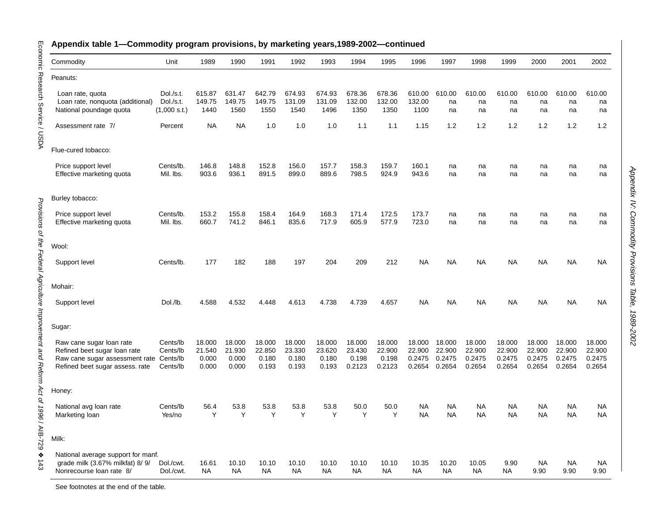| Commodity                                                                                                                     | Unit                                         | 1989                               | 1990                               | 1991                               | 1992                               | 1993                               | 1994                                | 1995                                | 1996                                 | 1997                                 | 1998                                 | 1999                                 | 2000                                 | 2001                                 | 2002                                 |
|-------------------------------------------------------------------------------------------------------------------------------|----------------------------------------------|------------------------------------|------------------------------------|------------------------------------|------------------------------------|------------------------------------|-------------------------------------|-------------------------------------|--------------------------------------|--------------------------------------|--------------------------------------|--------------------------------------|--------------------------------------|--------------------------------------|--------------------------------------|
| Peanuts:                                                                                                                      |                                              |                                    |                                    |                                    |                                    |                                    |                                     |                                     |                                      |                                      |                                      |                                      |                                      |                                      |                                      |
| Loan rate, quota<br>Loan rate, nonquota (additional)<br>National poundage quota                                               | Dol./s.t.<br>Dol./s.t.<br>(1,000 s.t.)       | 615.87<br>149.75<br>1440           | 631.47<br>149.75<br>1560           | 642.79<br>149.75<br>1550           | 674.93<br>131.09<br>1540           | 674.93<br>131.09<br>1496           | 678.36<br>132.00<br>1350            | 678.36<br>132.00<br>1350            | 610.00<br>132.00<br>1100             | 610.00<br>na<br>na                   | 610.00<br>na<br>na                   | 610.00<br>na<br>na                   | 610.00<br>na<br>na                   | 610.00<br>na<br>na                   | 610.00<br>na<br>na                   |
| Assessment rate 7/                                                                                                            | Percent                                      | <b>NA</b>                          | <b>NA</b>                          | 1.0                                | 1.0                                | 1.0                                | 1.1                                 | 1.1                                 | 1.15                                 | 1.2                                  | 1.2                                  | 1.2                                  | 1.2                                  | 1.2                                  | 1.2                                  |
| Flue-cured tobacco:                                                                                                           |                                              |                                    |                                    |                                    |                                    |                                    |                                     |                                     |                                      |                                      |                                      |                                      |                                      |                                      |                                      |
| Price support level<br>Effective marketing quota                                                                              | Cents/lb.<br>Mil. Ibs.                       | 146.8<br>903.6                     | 148.8<br>936.1                     | 152.8<br>891.5                     | 156.0<br>899.0                     | 157.7<br>889.6                     | 158.3<br>798.5                      | 159.7<br>924.9                      | 160.1<br>943.6                       | na<br>na                             | na<br>na                             | na<br>na                             | na<br>na                             | na<br>na                             | na<br>na                             |
| Burley tobacco:                                                                                                               |                                              |                                    |                                    |                                    |                                    |                                    |                                     |                                     |                                      |                                      |                                      |                                      |                                      |                                      |                                      |
| Price support level<br>Effective marketing quota                                                                              | Cents/lb.<br>Mil. Ibs.                       | 153.2<br>660.7                     | 155.8<br>741.2                     | 158.4<br>846.1                     | 164.9<br>835.6                     | 168.3<br>717.9                     | 171.4<br>605.9                      | 172.5<br>577.9                      | 173.7<br>723.0                       | na<br>na                             | na<br>na                             | na<br>na                             | na<br>na                             | na<br>na                             | na<br>na                             |
| Wool:                                                                                                                         |                                              |                                    |                                    |                                    |                                    |                                    |                                     |                                     |                                      |                                      |                                      |                                      |                                      |                                      |                                      |
| Support level                                                                                                                 | Cents/lb.                                    | 177                                | 182                                | 188                                | 197                                | 204                                | 209                                 | 212                                 | <b>NA</b>                            | <b>NA</b>                            | <b>NA</b>                            | <b>NA</b>                            | <b>NA</b>                            | NA                                   | NA                                   |
| Mohair:                                                                                                                       |                                              |                                    |                                    |                                    |                                    |                                    |                                     |                                     |                                      |                                      |                                      |                                      |                                      |                                      |                                      |
| Support level                                                                                                                 | Dol./lb.                                     | 4.588                              | 4.532                              | 4.448                              | 4.613                              | 4.738                              | 4.739                               | 4.657                               | <b>NA</b>                            | <b>NA</b>                            | <b>NA</b>                            | <b>NA</b>                            | <b>NA</b>                            | NA                                   | NA.                                  |
| Sugar:                                                                                                                        |                                              |                                    |                                    |                                    |                                    |                                    |                                     |                                     |                                      |                                      |                                      |                                      |                                      |                                      |                                      |
| Raw cane sugar loan rate<br>Refined beet sugar loan rate<br>Raw cane sugar assessment rate<br>Refined beet sugar assess. rate | Cents/lb<br>Cents/lb<br>Cents/lb<br>Cents/lb | 18.000<br>21.540<br>0.000<br>0.000 | 18.000<br>21.930<br>0.000<br>0.000 | 18.000<br>22.850<br>0.180<br>0.193 | 18.000<br>23.330<br>0.180<br>0.193 | 18.000<br>23.620<br>0.180<br>0.193 | 18.000<br>23.430<br>0.198<br>0.2123 | 18.000<br>22.900<br>0.198<br>0.2123 | 18.000<br>22.900<br>0.2475<br>0.2654 | 18.000<br>22.900<br>0.2475<br>0.2654 | 18.000<br>22.900<br>0.2475<br>0.2654 | 18.000<br>22.900<br>0.2475<br>0.2654 | 18.000<br>22,900<br>0.2475<br>0.2654 | 18.000<br>22,900<br>0.2475<br>0.2654 | 18.000<br>22.900<br>0.2475<br>0.2654 |
| Honey:                                                                                                                        |                                              |                                    |                                    |                                    |                                    |                                    |                                     |                                     |                                      |                                      |                                      |                                      |                                      |                                      |                                      |
| National avg loan rate<br>Marketing loan                                                                                      | Cents/lb<br>Yes/no                           | 56.4<br>Y                          | 53.8<br>Υ                          | 53.8<br>Υ                          | 53.8<br>Υ                          | 53.8<br>Υ                          | 50.0<br>Υ                           | 50.0<br>Υ                           | NA<br>NA                             | <b>NA</b><br><b>NA</b>               | <b>NA</b><br><b>NA</b>               | NA.<br>NA.                           | <b>NA</b><br><b>NA</b>               | <b>NA</b><br>NA                      | NA.<br>NA.                           |
| Milk:                                                                                                                         |                                              |                                    |                                    |                                    |                                    |                                    |                                     |                                     |                                      |                                      |                                      |                                      |                                      |                                      |                                      |
| National average support for manf.<br>grade milk (3.67% milkfat) 8/9/<br>Nonrecourse loan rate 8/                             | Dol./cwt.<br>Dol./cwt.                       | 16.61<br>NA.                       | 10.10<br>NA                        | 10.10<br>NA                        | 10.10<br>NA.                       | 10.10<br>NA.                       | 10.10<br>NA                         | 10.10<br>NA.                        | 10.35<br>NA                          | 10.20<br>NA                          | 10.05<br>NA                          | 9.90<br>NA                           | NA.<br>9.90                          | NA<br>9.90                           | <b>NA</b><br>9.90                    |

Appendix IV:

Appendix IV: Commodity Provisions Table, 1989-2002

Commodity Provisions Table, 1989-2002

Economic Research Service / USDA

Provisions of the Federal Agriculture Improvement and Reform Act of 1996 / AIB-729 ❖

See footnotes at the end of the table.